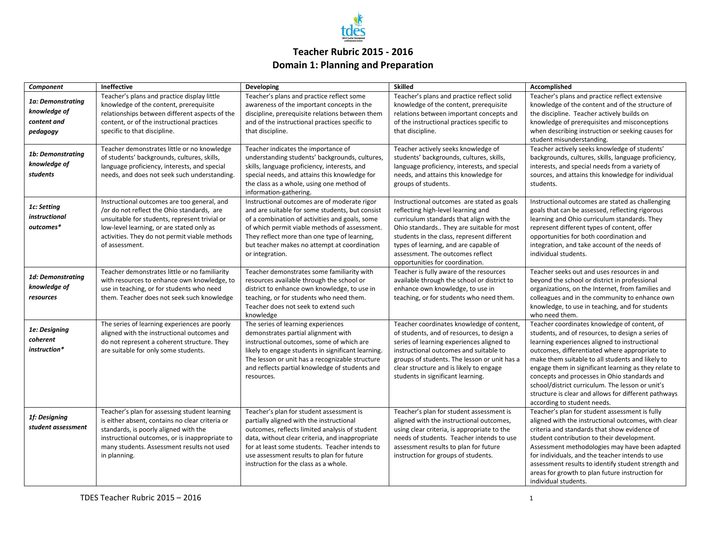

## **Teacher Rubric 2015 - 2016 Domain 1: Planning and Preparation**

| Component                                                    | Ineffective                                                                                                                                                                                                                                                | Developing                                                                                                                                                                                                                                                                                                                        | <b>Skilled</b>                                                                                                                                                                                                                                                                                                                          | Accomplished                                                                                                                                                                                                                                                                                                                                                                                                                                                                                                |
|--------------------------------------------------------------|------------------------------------------------------------------------------------------------------------------------------------------------------------------------------------------------------------------------------------------------------------|-----------------------------------------------------------------------------------------------------------------------------------------------------------------------------------------------------------------------------------------------------------------------------------------------------------------------------------|-----------------------------------------------------------------------------------------------------------------------------------------------------------------------------------------------------------------------------------------------------------------------------------------------------------------------------------------|-------------------------------------------------------------------------------------------------------------------------------------------------------------------------------------------------------------------------------------------------------------------------------------------------------------------------------------------------------------------------------------------------------------------------------------------------------------------------------------------------------------|
| 1a: Demonstrating<br>knowledge of<br>content and<br>pedagogy | Teacher's plans and practice display little<br>knowledge of the content, prerequisite<br>relationships between different aspects of the<br>content, or of the instructional practices<br>specific to that discipline.                                      | Teacher's plans and practice reflect some<br>awareness of the important concepts in the<br>discipline, prerequisite relations between them<br>and of the instructional practices specific to<br>that discipline.                                                                                                                  | Teacher's plans and practice reflect solid<br>knowledge of the content, prerequisite<br>relations between important concepts and<br>of the instructional practices specific to<br>that discipline.                                                                                                                                      | Teacher's plans and practice reflect extensive<br>knowledge of the content and of the structure of<br>the discipline. Teacher actively builds on<br>knowledge of prerequisites and misconceptions<br>when describing instruction or seeking causes for<br>student misunderstanding.                                                                                                                                                                                                                         |
| 1b: Demonstratina<br>knowledge of<br>students                | Teacher demonstrates little or no knowledge<br>of students' backgrounds, cultures, skills,<br>language proficiency, interests, and special<br>needs, and does not seek such understanding.                                                                 | Teacher indicates the importance of<br>understanding students' backgrounds, cultures,<br>skills, language proficiency, interests, and<br>special needs, and attains this knowledge for<br>the class as a whole, using one method of<br>information-gathering.                                                                     | Teacher actively seeks knowledge of<br>students' backgrounds, cultures, skills,<br>language proficiency, interests, and special<br>needs, and attains this knowledge for<br>groups of students.                                                                                                                                         | Teacher actively seeks knowledge of students'<br>backgrounds, cultures, skills, language proficiency,<br>interests, and special needs from a variety of<br>sources, and attains this knowledge for individual<br>students.                                                                                                                                                                                                                                                                                  |
| 1c: Setting<br>instructional<br>outcomes*                    | Instructional outcomes are too general, and<br>/or do not reflect the Ohio standards, are<br>unsuitable for students, represent trivial or<br>low-level learning, or are stated only as<br>activities. They do not permit viable methods<br>of assessment. | Instructional outcomes are of moderate rigor<br>and are suitable for some students, but consist<br>of a combination of activities and goals, some<br>of which permit viable methods of assessment.<br>They reflect more than one type of learning,<br>but teacher makes no attempt at coordination<br>or integration.             | Instructional outcomes are stated as goals<br>reflecting high-level learning and<br>curriculum standards that align with the<br>Ohio standards They are suitable for most<br>students in the class, represent different<br>types of learning, and are capable of<br>assessment. The outcomes reflect<br>opportunities for coordination. | Instructional outcomes are stated as challenging<br>goals that can be assessed, reflecting rigorous<br>learning and Ohio curriculum standards. They<br>represent different types of content, offer<br>opportunities for both coordination and<br>integration, and take account of the needs of<br>individual students.                                                                                                                                                                                      |
| 1d: Demonstrating<br>knowledge of<br>resources               | Teacher demonstrates little or no familiarity<br>with resources to enhance own knowledge, to<br>use in teaching, or for students who need<br>them. Teacher does not seek such knowledge                                                                    | Teacher demonstrates some familiarity with<br>resources available through the school or<br>district to enhance own knowledge, to use in<br>teaching, or for students who need them.<br>Teacher does not seek to extend such<br>knowledge                                                                                          | Teacher is fully aware of the resources<br>available through the school or district to<br>enhance own knowledge, to use in<br>teaching, or for students who need them.                                                                                                                                                                  | Teacher seeks out and uses resources in and<br>beyond the school or district in professional<br>organizations, on the Internet, from families and<br>colleagues and in the community to enhance own<br>knowledge, to use in teaching, and for students<br>who need them.                                                                                                                                                                                                                                    |
| 1e: Designing<br>coherent<br>instruction*                    | The series of learning experiences are poorly<br>aligned with the instructional outcomes and<br>do not represent a coherent structure. They<br>are suitable for only some students.                                                                        | The series of learning experiences<br>demonstrates partial alignment with<br>instructional outcomes, some of which are<br>likely to engage students in significant learning.<br>The lesson or unit has a recognizable structure<br>and reflects partial knowledge of students and<br>resources.                                   | Teacher coordinates knowledge of content,<br>of students, and of resources, to design a<br>series of learning experiences aligned to<br>instructional outcomes and suitable to<br>groups of students. The lesson or unit has a<br>clear structure and is likely to engage<br>students in significant learning.                          | Teacher coordinates knowledge of content, of<br>students, and of resources, to design a series of<br>learning experiences aligned to instructional<br>outcomes, differentiated where appropriate to<br>make them suitable to all students and likely to<br>engage them in significant learning as they relate to<br>concepts and processes in Ohio standards and<br>school/district curriculum. The lesson or unit's<br>structure is clear and allows for different pathways<br>according to student needs. |
| 1f: Designing<br>student assessment                          | Teacher's plan for assessing student learning<br>is either absent, contains no clear criteria or<br>standards, is poorly aligned with the<br>instructional outcomes, or is inappropriate to<br>many students. Assessment results not used<br>in planning.  | Teacher's plan for student assessment is<br>partially aligned with the instructional<br>outcomes, reflects limited analysis of student<br>data, without clear criteria, and inappropriate<br>for at least some students. Teacher intends to<br>use assessment results to plan for future<br>instruction for the class as a whole. | Teacher's plan for student assessment is<br>aligned with the instructional outcomes,<br>using clear criteria, is appropriate to the<br>needs of students. Teacher intends to use<br>assessment results to plan for future<br>instruction for groups of students.                                                                        | Teacher's plan for student assessment is fully<br>aligned with the instructional outcomes, with clear<br>criteria and standards that show evidence of<br>student contribution to their development.<br>Assessment methodologies may have been adapted<br>for individuals, and the teacher intends to use<br>assessment results to identify student strength and<br>areas for growth to plan future instruction for<br>individual students.                                                                  |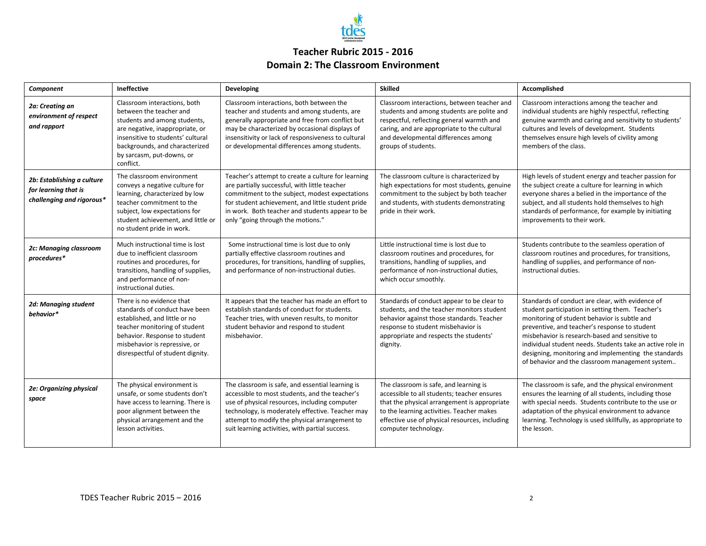

## **Teacher Rubric 2015 - 2016 Domain 2: The Classroom Environment**

| Component                                                                       | <b>Ineffective</b>                                                                                                                                                                                                                          | Developing                                                                                                                                                                                                                                                                                                  | <b>Skilled</b>                                                                                                                                                                                                                                               | Accomplished                                                                                                                                                                                                                                                                                                                                                                                                                    |
|---------------------------------------------------------------------------------|---------------------------------------------------------------------------------------------------------------------------------------------------------------------------------------------------------------------------------------------|-------------------------------------------------------------------------------------------------------------------------------------------------------------------------------------------------------------------------------------------------------------------------------------------------------------|--------------------------------------------------------------------------------------------------------------------------------------------------------------------------------------------------------------------------------------------------------------|---------------------------------------------------------------------------------------------------------------------------------------------------------------------------------------------------------------------------------------------------------------------------------------------------------------------------------------------------------------------------------------------------------------------------------|
| 2a: Creating an<br>environment of respect<br>and rapport                        | Classroom interactions, both<br>between the teacher and<br>students and among students,<br>are negative, inappropriate, or<br>insensitive to students' cultural<br>backgrounds, and characterized<br>by sarcasm, put-downs, or<br>conflict. | Classroom interactions, both between the<br>teacher and students and among students, are<br>generally appropriate and free from conflict but<br>may be characterized by occasional displays of<br>insensitivity or lack of responsiveness to cultural<br>or developmental differences among students.       | Classroom interactions, between teacher and<br>students and among students are polite and<br>respectful, reflecting general warmth and<br>caring, and are appropriate to the cultural<br>and developmental differences among<br>groups of students.          | Classroom interactions among the teacher and<br>individual students are highly respectful, reflecting<br>genuine warmth and caring and sensitivity to students'<br>cultures and levels of development. Students<br>themselves ensure high levels of civility among<br>members of the class.                                                                                                                                     |
| 2b: Establishing a culture<br>for learning that is<br>challenging and rigorous* | The classroom environment<br>conveys a negative culture for<br>learning, characterized by low<br>teacher commitment to the<br>subject, low expectations for<br>student achievement, and little or<br>no student pride in work.              | Teacher's attempt to create a culture for learning<br>are partially successful, with little teacher<br>commitment to the subject, modest expectations<br>for student achievement, and little student pride<br>in work. Both teacher and students appear to be<br>only "going through the motions."          | The classroom culture is characterized by<br>high expectations for most students, genuine<br>commitment to the subject by both teacher<br>and students, with students demonstrating<br>pride in their work.                                                  | High levels of student energy and teacher passion for<br>the subject create a culture for learning in which<br>everyone shares a belied in the importance of the<br>subject, and all students hold themselves to high<br>standards of performance, for example by initiating<br>improvements to their work.                                                                                                                     |
| 2c: Managing classroom<br>procedures*                                           | Much instructional time is lost<br>due to inefficient classroom<br>routines and procedures, for<br>transitions, handling of supplies,<br>and performance of non-<br>instructional duties.                                                   | Some instructional time is lost due to only<br>partially effective classroom routines and<br>procedures, for transitions, handling of supplies,<br>and performance of non-instructional duties.                                                                                                             | Little instructional time is lost due to<br>classroom routines and procedures, for<br>transitions, handling of supplies, and<br>performance of non-instructional duties,<br>which occur smoothly.                                                            | Students contribute to the seamless operation of<br>classroom routines and procedures, for transitions,<br>handling of supplies, and performance of non-<br>instructional duties.                                                                                                                                                                                                                                               |
| 2d: Managing student<br>behavior*                                               | There is no evidence that<br>standards of conduct have been<br>established, and little or no<br>teacher monitoring of student<br>behavior. Response to student<br>misbehavior is repressive, or<br>disrespectful of student dignity.        | It appears that the teacher has made an effort to<br>establish standards of conduct for students.<br>Teacher tries, with uneven results, to monitor<br>student behavior and respond to student<br>misbehavior.                                                                                              | Standards of conduct appear to be clear to<br>students, and the teacher monitors student<br>behavior against those standards. Teacher<br>response to student misbehavior is<br>appropriate and respects the students'<br>dignity.                            | Standards of conduct are clear, with evidence of<br>student participation in setting them. Teacher's<br>monitoring of student behavior is subtle and<br>preventive, and teacher's response to student<br>misbehavior is research-based and sensitive to<br>individual student needs. Students take an active role in<br>designing, monitoring and implementing the standards<br>of behavior and the classroom management system |
| 2e: Organizing physical<br>space                                                | The physical environment is<br>unsafe, or some students don't<br>have access to learning. There is<br>poor alignment between the<br>physical arrangement and the<br>lesson activities.                                                      | The classroom is safe, and essential learning is<br>accessible to most students, and the teacher's<br>use of physical resources, including computer<br>technology, is moderately effective. Teacher may<br>attempt to modify the physical arrangement to<br>suit learning activities, with partial success. | The classroom is safe, and learning is<br>accessible to all students; teacher ensures<br>that the physical arrangement is appropriate<br>to the learning activities. Teacher makes<br>effective use of physical resources, including<br>computer technology. | The classroom is safe, and the physical environment<br>ensures the learning of all students, including those<br>with special needs. Students contribute to the use or<br>adaptation of the physical environment to advance<br>learning. Technology is used skillfully, as appropriate to<br>the lesson.                                                                                                                         |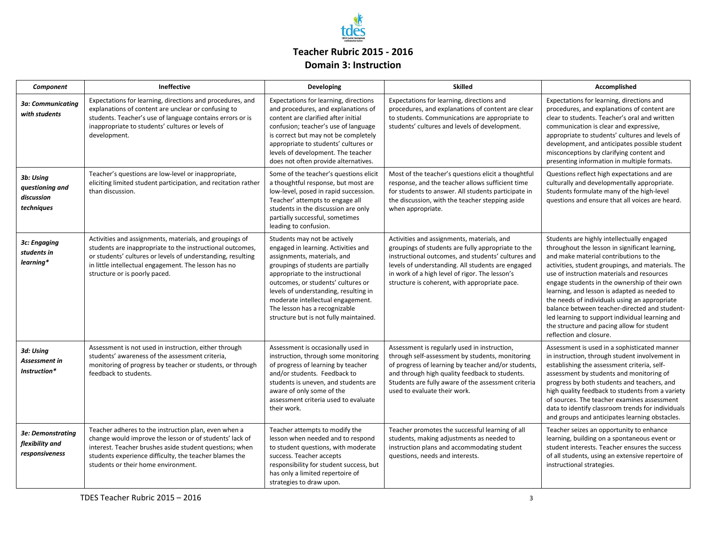

## **Teacher Rubric 2015 - 2016 Domain 3: Instruction**

| Component                                                | Ineffective                                                                                                                                                                                                                                                                  | Developing                                                                                                                                                                                                                                                                                                                                                                   | <b>Skilled</b>                                                                                                                                                                                                                                                                                                 | Accomplished                                                                                                                                                                                                                                                                                                                                                                                                                                                                                                                                                             |
|----------------------------------------------------------|------------------------------------------------------------------------------------------------------------------------------------------------------------------------------------------------------------------------------------------------------------------------------|------------------------------------------------------------------------------------------------------------------------------------------------------------------------------------------------------------------------------------------------------------------------------------------------------------------------------------------------------------------------------|----------------------------------------------------------------------------------------------------------------------------------------------------------------------------------------------------------------------------------------------------------------------------------------------------------------|--------------------------------------------------------------------------------------------------------------------------------------------------------------------------------------------------------------------------------------------------------------------------------------------------------------------------------------------------------------------------------------------------------------------------------------------------------------------------------------------------------------------------------------------------------------------------|
| 3a: Communicatina<br>with students                       | Expectations for learning, directions and procedures, and<br>explanations of content are unclear or confusing to<br>students. Teacher's use of language contains errors or is<br>inappropriate to students' cultures or levels of<br>development.                            | Expectations for learning, directions<br>and procedures, and explanations of<br>content are clarified after initial<br>confusion; teacher's use of language<br>is correct but may not be completely<br>appropriate to students' cultures or<br>levels of development. The teacher<br>does not often provide alternatives.                                                    | Expectations for learning, directions and<br>procedures, and explanations of content are clear<br>to students. Communications are appropriate to<br>students' cultures and levels of development.                                                                                                              | Expectations for learning, directions and<br>procedures, and explanations of content are<br>clear to students. Teacher's oral and written<br>communication is clear and expressive,<br>appropriate to students' cultures and levels of<br>development, and anticipates possible student<br>misconceptions by clarifying content and<br>presenting information in multiple formats.                                                                                                                                                                                       |
| 3b: Using<br>questioning and<br>discussion<br>techniques | Teacher's questions are low-level or inappropriate,<br>eliciting limited student participation, and recitation rather<br>than discussion.                                                                                                                                    | Some of the teacher's questions elicit<br>a thoughtful response, but most are<br>low-level, posed in rapid succession.<br>Teacher' attempts to engage all<br>students in the discussion are only<br>partially successful, sometimes<br>leading to confusion.                                                                                                                 | Most of the teacher's questions elicit a thoughtful<br>response, and the teacher allows sufficient time<br>for students to answer. All students participate in<br>the discussion, with the teacher stepping aside<br>when appropriate.                                                                         | Questions reflect high expectations and are<br>culturally and developmentally appropriate.<br>Students formulate many of the high-level<br>questions and ensure that all voices are heard.                                                                                                                                                                                                                                                                                                                                                                               |
| 3c: Engaging<br>students in<br>learning*                 | Activities and assignments, materials, and groupings of<br>students are inappropriate to the instructional outcomes,<br>or students' cultures or levels of understanding, resulting<br>in little intellectual engagement. The lesson has no<br>structure or is poorly paced. | Students may not be actively<br>engaged in learning. Activities and<br>assignments, materials, and<br>groupings of students are partially<br>appropriate to the instructional<br>outcomes, or students' cultures or<br>levels of understanding, resulting in<br>moderate intellectual engagement.<br>The lesson has a recognizable<br>structure but is not fully maintained. | Activities and assignments, materials, and<br>groupings of students are fully appropriate to the<br>instructional outcomes, and students' cultures and<br>levels of understanding. All students are engaged<br>in work of a high level of rigor. The lesson's<br>structure is coherent, with appropriate pace. | Students are highly intellectually engaged<br>throughout the lesson in significant learning,<br>and make material contributions to the<br>activities, student groupings, and materials. The<br>use of instruction materials and resources<br>engage students in the ownership of their own<br>learning, and lesson is adapted as needed to<br>the needs of individuals using an appropriate<br>balance between teacher-directed and student-<br>led learning to support individual learning and<br>the structure and pacing allow for student<br>reflection and closure. |
| 3d: Using<br>Assessment in<br>Instruction*               | Assessment is not used in instruction, either through<br>students' awareness of the assessment criteria,<br>monitoring of progress by teacher or students, or through<br>feedback to students.                                                                               | Assessment is occasionally used in<br>instruction, through some monitoring<br>of progress of learning by teacher<br>and/or students. Feedback to<br>students is uneven, and students are<br>aware of only some of the<br>assessment criteria used to evaluate<br>their work.                                                                                                 | Assessment is regularly used in instruction,<br>through self-assessment by students, monitoring<br>of progress of learning by teacher and/or students,<br>and through high quality feedback to students.<br>Students are fully aware of the assessment criteria<br>used to evaluate their work.                | Assessment is used in a sophisticated manner<br>in instruction, through student involvement in<br>establishing the assessment criteria, self-<br>assessment by students and monitoring of<br>progress by both students and teachers, and<br>high quality feedback to students from a variety<br>of sources. The teacher examines assessment<br>data to identify classroom trends for individuals<br>and groups and anticipates learning obstacles.                                                                                                                       |
| 3e: Demonstrating<br>flexibility and<br>responsiveness   | Teacher adheres to the instruction plan, even when a<br>change would improve the lesson or of students' lack of<br>interest. Teacher brushes aside student questions; when<br>students experience difficulty, the teacher blames the<br>students or their home environment.  | Teacher attempts to modify the<br>lesson when needed and to respond<br>to student questions, with moderate<br>success. Teacher accepts<br>responsibility for student success, but<br>has only a limited repertoire of<br>strategies to draw upon.                                                                                                                            | Teacher promotes the successful learning of all<br>students, making adjustments as needed to<br>instruction plans and accommodating student<br>questions, needs and interests.                                                                                                                                 | Teacher seizes an opportunity to enhance<br>learning, building on a spontaneous event or<br>student interests. Teacher ensures the success<br>of all students, using an extensive repertoire of<br>instructional strategies.                                                                                                                                                                                                                                                                                                                                             |